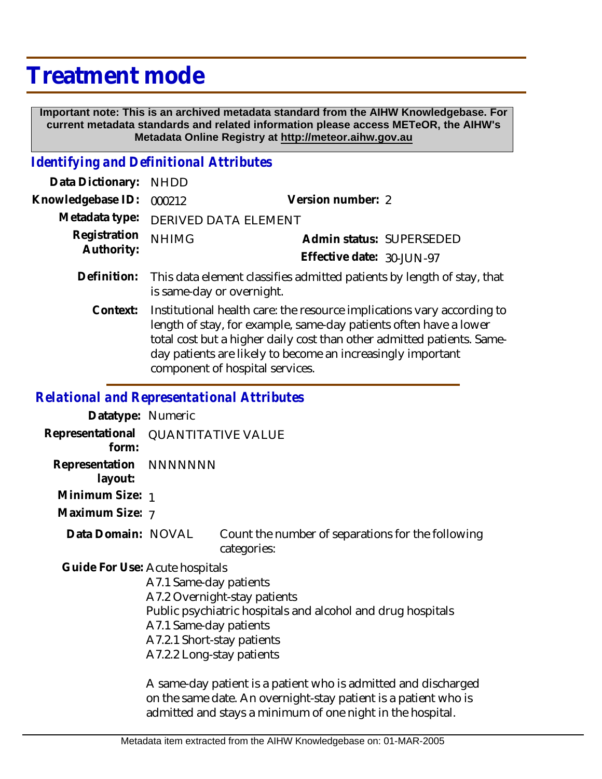## **Treatment mode**

 **Important note: This is an archived metadata standard from the AIHW Knowledgebase. For current metadata standards and related information please access METeOR, the AIHW's Metadata Online Registry at http://meteor.aihw.gov.au**

## *Identifying and Definitional Attributes*

| Data Dictionary:           | <b>NHDD</b>                                                                                                                                                                                                                                                                                                             |                                                                        |
|----------------------------|-------------------------------------------------------------------------------------------------------------------------------------------------------------------------------------------------------------------------------------------------------------------------------------------------------------------------|------------------------------------------------------------------------|
| Knowledgebase ID:          | 000212                                                                                                                                                                                                                                                                                                                  | Version number: 2                                                      |
| Metadata type:             | DERIVED DATA ELEMENT                                                                                                                                                                                                                                                                                                    |                                                                        |
| Registration<br>Authority: | <b>NHIMG</b>                                                                                                                                                                                                                                                                                                            | Admin status: SUPERSEDED                                               |
|                            |                                                                                                                                                                                                                                                                                                                         | Effective date: 30-JUN-97                                              |
| Definition:                | is same-day or overnight.                                                                                                                                                                                                                                                                                               | This data element classifies admitted patients by length of stay, that |
| Context:                   | Institutional health care: the resource implications vary according to<br>length of stay, for example, same-day patients often have a lower<br>total cost but a higher daily cost than other admitted patients. Same-<br>day patients are likely to become an increasingly important<br>component of hospital services. |                                                                        |

## *Relational and Representational Attributes*

| Datatype: Numeric                            |                            |                                                                  |
|----------------------------------------------|----------------------------|------------------------------------------------------------------|
| Representational QUANTITATIVE VALUE<br>form: |                            |                                                                  |
| Representation NNNNNNN<br>layout:            |                            |                                                                  |
| Minimum Size: 1                              |                            |                                                                  |
| Maximum Size: 7                              |                            |                                                                  |
| Data Domain: NOVAL                           |                            | Count the number of separations for the following<br>categories: |
| Guide For Use: Acute hospitals               |                            |                                                                  |
|                                              | A7.1 Same-day patients     |                                                                  |
|                                              |                            | A7.2 Overnight-stay patients                                     |
|                                              |                            | Public psychiatric hospitals and alcohol and drug hospitals      |
|                                              | A7.1 Same-day patients     |                                                                  |
|                                              | A7.2.1 Short-stay patients |                                                                  |
|                                              | A7.2.2 Long-stay patients  |                                                                  |

A same-day patient is a patient who is admitted and discharged on the same date. An overnight-stay patient is a patient who is admitted and stays a minimum of one night in the hospital.